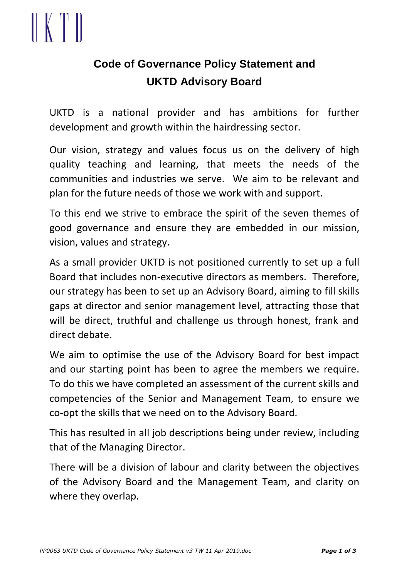## $\mathbb{K}$  T

### **Code of Governance Policy Statement and UKTD Advisory Board**

UKTD is a national provider and has ambitions for further development and growth within the hairdressing sector.

Our vision, strategy and values focus us on the delivery of high quality teaching and learning, that meets the needs of the communities and industries we serve. We aim to be relevant and plan for the future needs of those we work with and support.

To this end we strive to embrace the spirit of the seven themes of good governance and ensure they are embedded in our mission, vision, values and strategy.

As a small provider UKTD is not positioned currently to set up a full Board that includes non-executive directors as members. Therefore, our strategy has been to set up an Advisory Board, aiming to fill skills gaps at director and senior management level, attracting those that will be direct, truthful and challenge us through honest, frank and direct debate.

We aim to optimise the use of the Advisory Board for best impact and our starting point has been to agree the members we require. To do this we have completed an assessment of the current skills and competencies of the Senior and Management Team, to ensure we co-opt the skills that we need on to the Advisory Board.

This has resulted in all job descriptions being under review, including that of the Managing Director.

There will be a division of labour and clarity between the objectives of the Advisory Board and the Management Team, and clarity on where they overlap.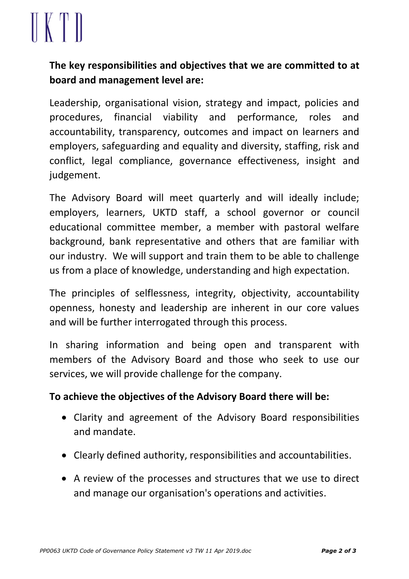# $\parallel$  (  $\parallel$  )

#### **The key responsibilities and objectives that we are committed to at board and management level are:**

Leadership, organisational vision, strategy and impact, policies and procedures, financial viability and performance, roles and accountability, transparency, outcomes and impact on learners and employers, safeguarding and equality and diversity, staffing, risk and conflict, legal compliance, governance effectiveness, insight and judgement.

The Advisory Board will meet quarterly and will ideally include; employers, learners, UKTD staff, a school governor or council educational committee member, a member with pastoral welfare background, bank representative and others that are familiar with our industry. We will support and train them to be able to challenge us from a place of knowledge, understanding and high expectation.

The principles of selflessness, integrity, objectivity, accountability openness, honesty and leadership are inherent in our core values and will be further interrogated through this process.

In sharing information and being open and transparent with members of the Advisory Board and those who seek to use our services, we will provide challenge for the company.

#### **To achieve the objectives of the Advisory Board there will be:**

- Clarity and agreement of the Advisory Board responsibilities and mandate.
- Clearly defined authority, responsibilities and accountabilities.
- A review of the processes and structures that we use to direct and manage our organisation's operations and activities.